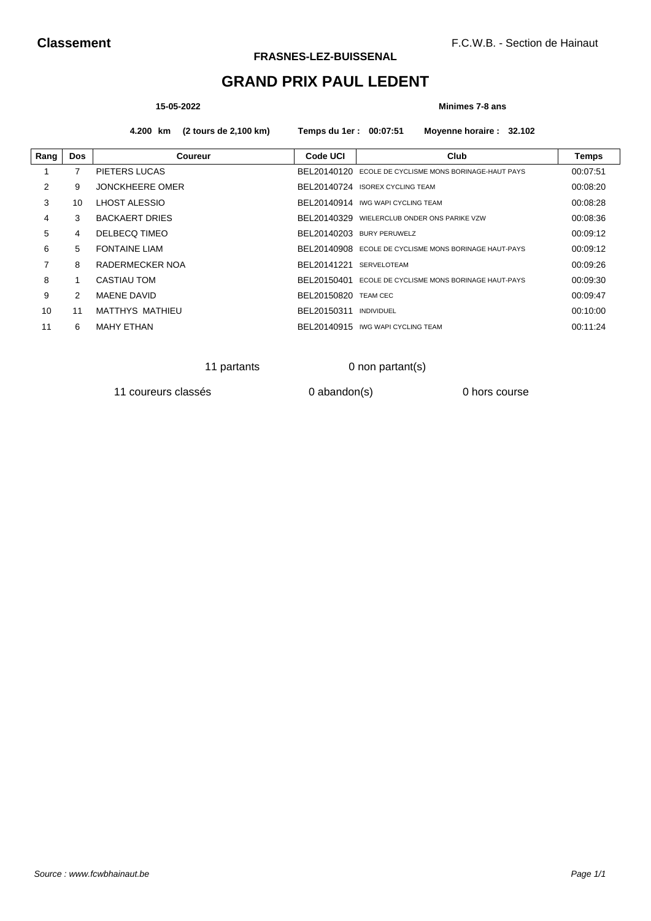# **GRAND PRIX PAUL LEDENT**

## **15-05-2022 Minimes 7-8 ans**

**4.200 km (2 tours de 2,100 km) Temps du 1er : 00:07:51 Moyenne horaire : 32.102**

| Rang | <b>Dos</b> | Coureur                | Code UCI    | Club                                        | Temps    |
|------|------------|------------------------|-------------|---------------------------------------------|----------|
|      |            | PIETERS LUCAS          | BEL20140120 | ECOLE DE CYCLISME MONS BORINAGE-HAUT PAYS   | 00:07:51 |
| 2    | 9          | <b>JONCKHEERE OMER</b> |             | BEL20140724 ISOREX CYCLING TEAM             | 00:08:20 |
| 3    | 10         | LHOST ALESSIO          |             | BEL20140914 IWG WAPI CYCLING TEAM           | 00:08:28 |
| 4    | 3          | <b>BACKAERT DRIES</b>  |             | BEL20140329 WIELERCLUB ONDER ONS PARIKE VZW | 00:08:36 |
| 5    | 4          | DELBECQ TIMEO          | BEL20140203 | <b>BURY PERUWELZ</b>                        | 00:09:12 |
| 6    | 5.         | <b>FONTAINE LIAM</b>   | BEL20140908 | ECOLE DE CYCLISME MONS BORINAGE HAUT-PAYS   | 00:09:12 |
| 7    | 8          | RADERMECKER NOA        | BEL20141221 | <b>SERVELOTEAM</b>                          | 00:09:26 |
| 8    |            | CASTIAU TOM            | BEL20150401 | ECOLE DE CYCLISME MONS BORINAGE HAUT-PAYS   | 00:09:30 |
| 9    | 2          | <b>MAENE DAVID</b>     | BEL20150820 | <b>TEAM CEC</b>                             | 00:09:47 |
| 10   | 11         | MATTHYS MATHIEU        | BEL20150311 | <b>INDIVIDUEL</b>                           | 00:10:00 |
| 11   | 6          | <b>MAHY ETHAN</b>      |             | BEL20140915 IWG WAPI CYCLING TEAM           | 00:11:24 |

11 partants 0 non partant(s)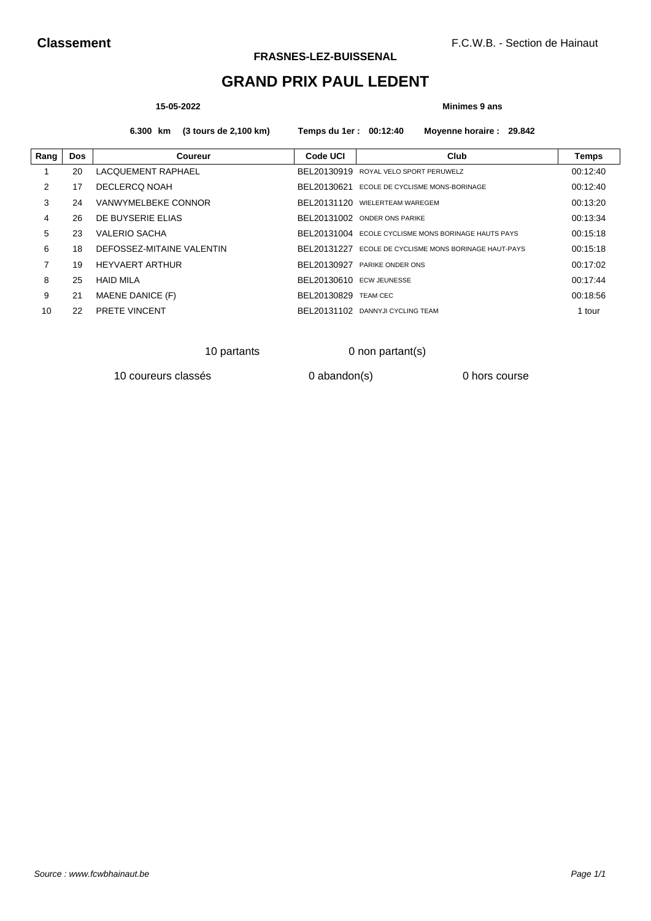# **GRAND PRIX PAUL LEDENT**

### **15-05-2022 Minimes 9 ans**

## **6.300 km (3 tours de 2,100 km) Temps du 1er : 00:12:40 Moyenne horaire : 29.842**

| Rang | <b>Dos</b> | Coureur                   | <b>Code UCI</b>          | Club                                                | Temps    |
|------|------------|---------------------------|--------------------------|-----------------------------------------------------|----------|
|      | 20         | LACQUEMENT RAPHAEL        | BEL20130919              | ROYAL VELO SPORT PERUWELZ                           | 00:12:40 |
| 2    | 17         | DECLERCO NOAH             | BEL20130621              | ECOLE DE CYCLISME MONS-BORINAGE                     | 00:12:40 |
| 3    | 24         | VANWYMELBEKE CONNOR       | BEL20131120              | WIELERTEAM WAREGEM                                  | 00:13:20 |
| 4    | 26         | DE BUYSERIE ELIAS         | BEL20131002              | <b>ONDER ONS PARIKE</b>                             | 00:13:34 |
| 5    | 23         | <b>VALERIO SACHA</b>      |                          | BEL20131004 ECOLE CYCLISME MONS BORINAGE HAUTS PAYS | 00:15:18 |
| 6    | 18         | DEFOSSEZ-MITAINE VALENTIN | BFL 20131227             | ECOLE DE CYCLISME MONS BORINAGE HAUT-PAYS           | 00:15:18 |
| 7    | 19         | <b>HEYVAERT ARTHUR</b>    | BEL20130927              | PARIKE ONDER ONS                                    | 00:17:02 |
| 8    | 25         | <b>HAID MILA</b>          | BEL20130610 ECW JEUNESSE |                                                     | 00:17:44 |
| 9    | 21         | MAENE DANICE (F)          | BEL20130829              | <b>TEAM CEC</b>                                     | 00:18:56 |
| 10   | 22         | <b>PRETE VINCENT</b>      | BEL 20131102             | DANNYJI CYCLING TEAM                                | 1 tour   |

10 partants 0 non partant(s)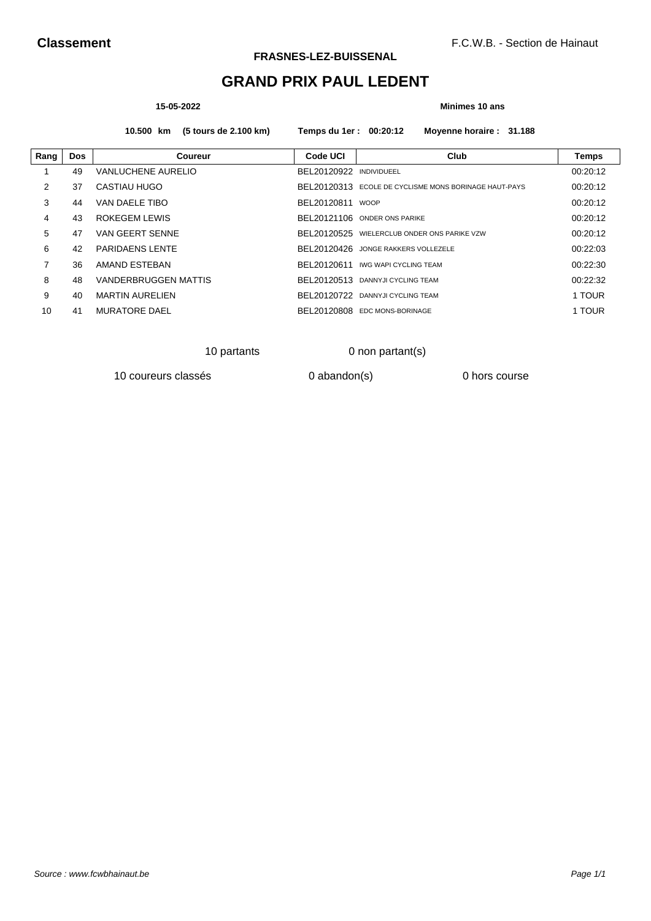# **GRAND PRIX PAUL LEDENT**

### **15-05-2022 Minimes 10 ans**

**10.500 km (5 tours de 2.100 km) Temps du 1er : 00:20:12 Moyenne horaire : 31.188**

| Rang | <b>Dos</b> | Coureur                     | Code UCI     | Club                                      | <b>Temps</b> |
|------|------------|-----------------------------|--------------|-------------------------------------------|--------------|
|      | 49         | VANLUCHENE AURELIO          | BEL20120922  | <b>INDIVIDUEEL</b>                        | 00:20:12     |
| 2    | 37         | CASTIAU HUGO                | BEL20120313  | ECOLE DE CYCLISME MONS BORINAGE HAUT-PAYS | 00:20:12     |
| 3    | 44         | VAN DAELE TIBO              | BEL20120811  | <b>WOOP</b>                               | 00:20:12     |
| 4    | 43         | ROKEGEM LEWIS               |              | BEL20121106 ONDER ONS PARIKE              | 00:20:12     |
| 5    | 47         | VAN GEERT SENNE             | BFI 20120525 | WIELERCLUB ONDER ONS PARIKE VZW           | 00:20:12     |
| 6    | 42         | <b>PARIDAENS LENTE</b>      | BEL20120426  | JONGE RAKKERS VOLLEZELE                   | 00:22:03     |
| 7    | 36         | AMAND ESTEBAN               | BEL20120611  | <b>IWG WAPI CYCLING TEAM</b>              | 00:22:30     |
| 8    | 48         | <b>VANDERBRUGGEN MATTIS</b> | BEL20120513  | DANNYJI CYCLING TEAM                      | 00:22:32     |
| 9    | 40         | <b>MARTIN AURELIEN</b>      | BEL20120722  | DANNYJI CYCLING TEAM                      | 1 TOUR       |
| 10   | 41         | <b>MURATORE DAEL</b>        | BEL20120808  | EDC MONS-BORINAGE                         | 1 TOUR       |
|      |            |                             |              |                                           |              |

10 partants 0 non partant(s)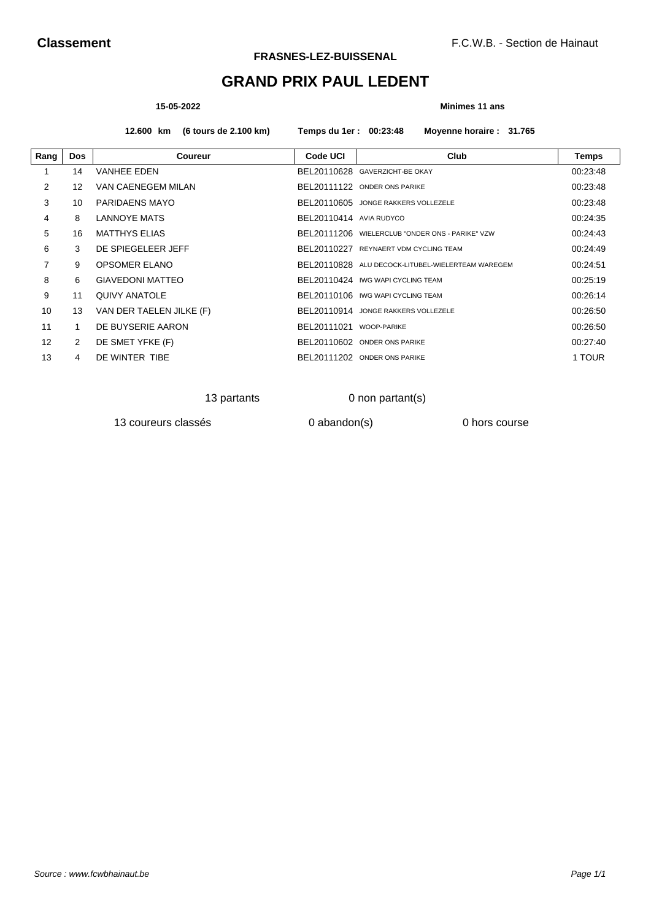# **GRAND PRIX PAUL LEDENT**

### **15-05-2022 Minimes 11 ans**

**12.600 km (6 tours de 2.100 km) Temps du 1er : 00:23:48 Moyenne horaire : 31.765**

| Rang              | <b>Dos</b> | Coureur                  | Code UCI                | Club                                              | Temps    |
|-------------------|------------|--------------------------|-------------------------|---------------------------------------------------|----------|
|                   | 14         | <b>VANHEE EDEN</b>       |                         | BEL20110628 GAVERZICHT-BE OKAY                    | 00:23:48 |
| 2                 | 12         | VAN CAENEGEM MILAN       |                         | BEL20111122 ONDER ONS PARIKE                      | 00:23:48 |
| 3                 | 10         | PARIDAENS MAYO           |                         | BEL20110605 JONGE RAKKERS VOLLEZELE               | 00:23:48 |
| 4                 | 8          | LANNOYE MATS             | BEL20110414 AVIA RUDYCO |                                                   | 00:24:35 |
| 5                 | 16         | <b>MATTHYS ELIAS</b>     |                         | BEL20111206 WIELERCLUB "ONDER ONS - PARIKE" VZW   | 00:24:43 |
| 6                 | 3          | DE SPIEGELEER JEFF       | BEL20110227             | REYNAERT VDM CYCLING TEAM                         | 00:24:49 |
| $\overline{7}$    | 9          | OPSOMER ELANO            |                         | BEL20110828 ALU DECOCK-LITUBEL-WIELERTEAM WAREGEM | 00:24:51 |
| 8                 | 6          | <b>GIAVEDONI MATTEO</b>  |                         | BEL20110424 IWG WAPI CYCLING TEAM                 | 00:25:19 |
| 9                 | 11         | <b>QUIVY ANATOLE</b>     |                         | BEL20110106 IWG WAPI CYCLING TEAM                 | 00:26:14 |
| 10                | 13         | VAN DER TAELEN JILKE (F) |                         | BEL20110914 JONGE RAKKERS VOLLEZELE               | 00:26:50 |
| 11                |            | DE BUYSERIE AARON        | BEL20111021 WOOP-PARIKE |                                                   | 00:26:50 |
| $12 \overline{ }$ | 2          | DE SMET YFKE (F)         |                         | BEL20110602 ONDER ONS PARIKE                      | 00:27:40 |
| 13                | 4          | DE WINTER TIBE           |                         | BEL20111202 ONDER ONS PARIKE                      | 1 TOUR   |

13 partants 0 non partant(s)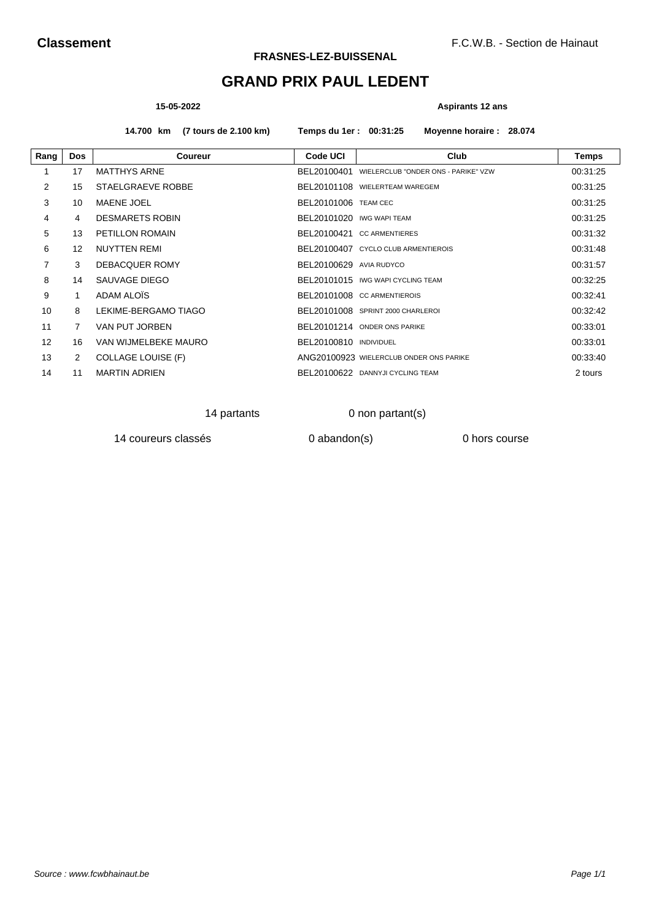# **GRAND PRIX PAUL LEDENT**

### **15-05-2022 Aspirants 12 ans**

**14.700 km (7 tours de 2.100 km) Temps du 1er : 00:31:25 Moyenne horaire : 28.074**

| Rang | <b>Dos</b> | <b>Coureur</b>            | Code UCI                    | Club                                    | Temps    |
|------|------------|---------------------------|-----------------------------|-----------------------------------------|----------|
|      | 17         | <b>MATTHYS ARNE</b>       | BEL20100401                 | WIELERCLUB "ONDER ONS - PARIKE" VZW     | 00:31:25 |
| 2    | 15         | STAELGRAEVE ROBBE         |                             | BEL20101108 WIELERTEAM WAREGEM          | 00:31:25 |
| 3    | 10         | MAENE JOEL                | <b>BEL20101006 TEAM CEC</b> |                                         | 00:31:25 |
| 4    | 4          | <b>DESMARETS ROBIN</b>    | BEL20101020 IWG WAPI TEAM   |                                         | 00:31:25 |
| 5    | 13         | <b>PETILLON ROMAIN</b>    |                             | BEL20100421 CC ARMENTIERES              | 00:31:32 |
| 6    | 12         | <b>NUYTTEN REMI</b>       |                             | BEL20100407 CYCLO CLUB ARMENTIEROIS     | 00:31:48 |
| 7    | 3          | DEBACQUER ROMY            | BEL20100629 AVIA RUDYCO     |                                         | 00:31:57 |
| 8    | 14         | SAUVAGE DIEGO             |                             | BEL20101015 IWG WAPI CYCLING TEAM       | 00:32:25 |
| 9    | 1          | ADAM ALOIS                |                             | BEL20101008 CC ARMENTIEROIS             | 00:32:41 |
| 10   | 8          | LEKIME-BERGAMO TIAGO      |                             | BEL20101008 SPRINT 2000 CHARLEROL       | 00:32:42 |
| 11   | 7          | VAN PUT JORBEN            |                             | BEL20101214 ONDER ONS PARIKE            | 00:33:01 |
| 12   | 16         | VAN WIJMELBEKE MAURO      | BEL20100810 INDIVIDUEL      |                                         | 00:33:01 |
| 13   | 2          | <b>COLLAGE LOUISE (F)</b> |                             | ANG20100923 WIELERCLUB ONDER ONS PARIKE | 00:33:40 |
| 14   | 11         | <b>MARTIN ADRIEN</b>      |                             | BEL20100622 DANNYJI CYCLING TEAM        | 2 tours  |

14 partants 0 non partant(s)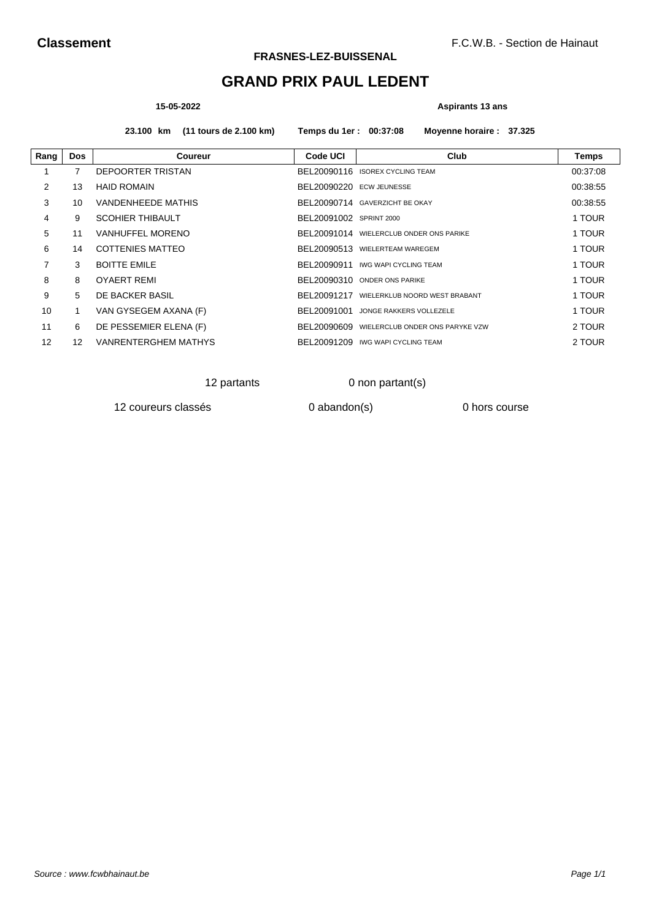# **GRAND PRIX PAUL LEDENT**

### **15-05-2022 Aspirants 13 ans**

**23.100 km (11 tours de 2.100 km) Temps du 1er : 00:37:08 Moyenne horaire : 37.325**

| Rang           | <b>Dos</b> | Coureur                     | Code UCI                 | Club                                        | <b>Temps</b> |
|----------------|------------|-----------------------------|--------------------------|---------------------------------------------|--------------|
|                | 7          | DEPOORTER TRISTAN           |                          | BEL20090116 ISOREX CYCLING TEAM             | 00:37:08     |
| $\overline{2}$ | 13         | <b>HAID ROMAIN</b>          | BEL20090220 ECW JEUNESSE |                                             | 00:38:55     |
| 3              | 10         | <b>VANDENHEEDE MATHIS</b>   |                          | BEL20090714 GAVERZICHT BE OKAY              | 00:38:55     |
| 4              | 9          | <b>SCOHIER THIBAULT</b>     | BEL20091002 SPRINT 2000  |                                             | 1 TOUR       |
| 5              | 11         | <b>VANHUFFEL MORENO</b>     |                          | BEL20091014 WIELERCLUB ONDER ONS PARIKE     | 1 TOUR       |
| 6              | 14         | COTTENIES MATTEO            |                          | BEL20090513 WIELERTEAM WAREGEM              | 1 TOUR       |
| 7              | 3          | <b>BOITTE EMILE</b>         |                          | BEL20090911 IWG WAPI CYCLING TEAM           | 1 TOUR       |
| 8              | 8          | <b>OYAERT REMI</b>          |                          | BEL20090310 ONDER ONS PARIKE                | 1 TOUR       |
| 9              | 5          | DE BACKER BASIL             |                          | BEL20091217 WIELERKLUB NOORD WEST BRABANT   | 1 TOUR       |
| 10             |            | VAN GYSEGEM AXANA (F)       | BEL20091001              | JONGE RAKKERS VOLLEZELE                     | 1 TOUR       |
| 11             | 6          | DE PESSEMIER ELENA (F)      |                          | BEL20090609 WIELERCLUB ONDER ONS PARYKE VZW | 2 TOUR       |
| 12             | 12         | <b>VANRENTERGHEM MATHYS</b> |                          | BEL20091209 IWG WAPI CYCLING TEAM           | 2 TOUR       |

## 12 partants 0 non partant(s)